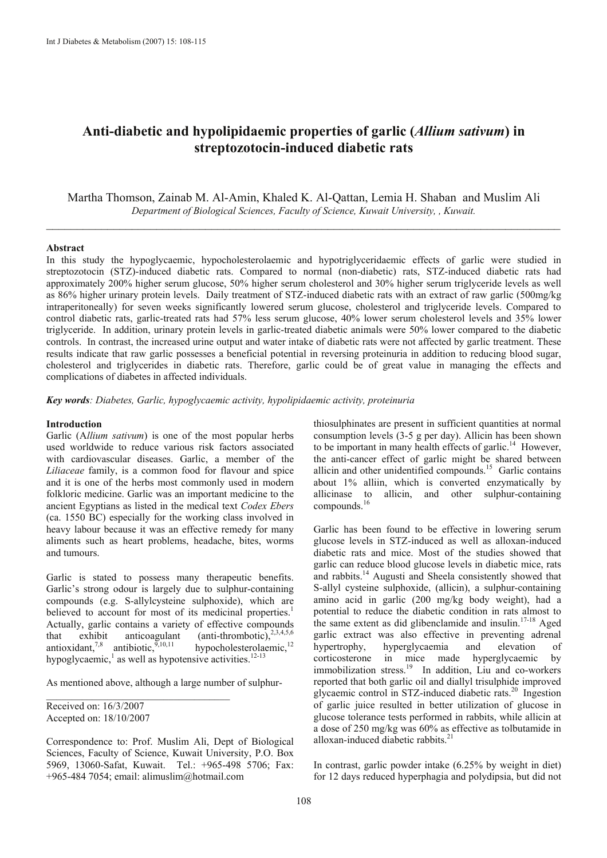# **Anti-diabetic and hypolipidaemic properties of garlic (***Allium sativum***) in streptozotocin-induced diabetic rats**

Martha Thomson, Zainab M. Al-Amin, Khaled K. Al-Qattan, Lemia H. Shaban and Muslim Ali *Department of Biological Sciences, Faculty of Science, Kuwait University, , Kuwait.*   $\mathcal{L}_\text{max} = \frac{1}{2} \sum_{i=1}^n \mathcal{L}_\text{max}(\mathbf{x}_i - \mathbf{y}_i)$ 

## **Abstract**

In this study the hypoglycaemic, hypocholesterolaemic and hypotriglyceridaemic effects of garlic were studied in streptozotocin (STZ)-induced diabetic rats. Compared to normal (non-diabetic) rats, STZ-induced diabetic rats had approximately 200% higher serum glucose, 50% higher serum cholesterol and 30% higher serum triglyceride levels as well as 86% higher urinary protein levels. Daily treatment of STZ-induced diabetic rats with an extract of raw garlic (500mg/kg intraperitoneally) for seven weeks significantly lowered serum glucose, cholesterol and triglyceride levels. Compared to control diabetic rats, garlic-treated rats had 57% less serum glucose, 40% lower serum cholesterol levels and 35% lower triglyceride. In addition, urinary protein levels in garlic-treated diabetic animals were 50% lower compared to the diabetic controls. In contrast, the increased urine output and water intake of diabetic rats were not affected by garlic treatment. These results indicate that raw garlic possesses a beneficial potential in reversing proteinuria in addition to reducing blood sugar, cholesterol and triglycerides in diabetic rats. Therefore, garlic could be of great value in managing the effects and complications of diabetes in affected individuals.

*Key words: Diabetes, Garlic, hypoglycaemic activity, hypolipidaemic activity, proteinuria* 

#### **Introduction**

Garlic (A*llium sativum*) is one of the most popular herbs used worldwide to reduce various risk factors associated with cardiovascular diseases. Garlic, a member of the *Liliaceae* family, is a common food for flavour and spice and it is one of the herbs most commonly used in modern folkloric medicine. Garlic was an important medicine to the ancient Egyptians as listed in the medical text *Codex Ebers*  (ca. 1550 BC) especially for the working class involved in heavy labour because it was an effective remedy for many aliments such as heart problems, headache, bites, worms and tumours.

Garlic is stated to possess many therapeutic benefits. Garlic's strong odour is largely due to sulphur-containing compounds (e.g. S-allylcysteine sulphoxide), which are believed to account for most of its medicinal properties.<sup>1</sup> Actually, garlic contains a variety of effective compounds that exhibit anticoagulant (anti-thrombotic),<sup>2,3,4,5,6</sup> antioxidant,<sup>7,8</sup> antibiotic,<sup>9,10,11</sup> hypocholesterolaemic,<sup>12</sup> antioxidant,<sup>7,8</sup> antibiotic, $\frac{9,10,11}{2}$ hypoglycaemic, $\frac{1}{2}$  as well as hypotensive activities.<sup>12-13</sup>

As mentioned above, although a large number of sulphur-

\_\_\_\_\_\_\_\_\_\_\_\_\_\_\_\_\_\_\_\_\_\_\_\_\_\_\_\_\_\_\_\_\_\_\_\_

Received on: 16/3/2007 Accepted on: 18/10/2007

Correspondence to: Prof. Muslim Ali, Dept of Biological Sciences, Faculty of Science, Kuwait University, P.O. Box 5969, 13060-Safat, Kuwait. Tel.: +965-498 5706; Fax: +965-484 7054; email: alimuslim@hotmail.com

thiosulphinates are present in sufficient quantities at normal consumption levels (3-5 g per day). Allicin has been shown to be important in many health effects of garlic.<sup>14</sup> However, the anti-cancer effect of garlic might be shared between allicin and other unidentified compounds.<sup>15</sup> Garlic contains about 1% alliin, which is converted enzymatically by allicinase to allicin, and other sulphur-containing compounds.16

Garlic has been found to be effective in lowering serum glucose levels in STZ-induced as well as alloxan-induced diabetic rats and mice. Most of the studies showed that garlic can reduce blood glucose levels in diabetic mice, rats and rabbits.14 Augusti and Sheela consistently showed that S-allyl cysteine sulphoxide, (allicin), a sulphur-containing amino acid in garlic (200 mg/kg body weight), had a potential to reduce the diabetic condition in rats almost to the same extent as did glibenclamide and insulin.<sup>17-18</sup> Aged garlic extract was also effective in preventing adrenal hypertrophy, hyperglycaemia and elevation of corticosterone in mice made hyperglycaemic by immobilization stress.<sup>19</sup> In addition, Liu and co-workers reported that both garlic oil and diallyl trisulphide improved glycaemic control in STZ-induced diabetic rats.20 Ingestion of garlic juice resulted in better utilization of glucose in glucose tolerance tests performed in rabbits, while allicin at a dose of 250 mg/kg was 60% as effective as tolbutamide in alloxan-induced diabetic rabbits.<sup>21</sup>

In contrast, garlic powder intake (6.25% by weight in diet) for 12 days reduced hyperphagia and polydipsia, but did not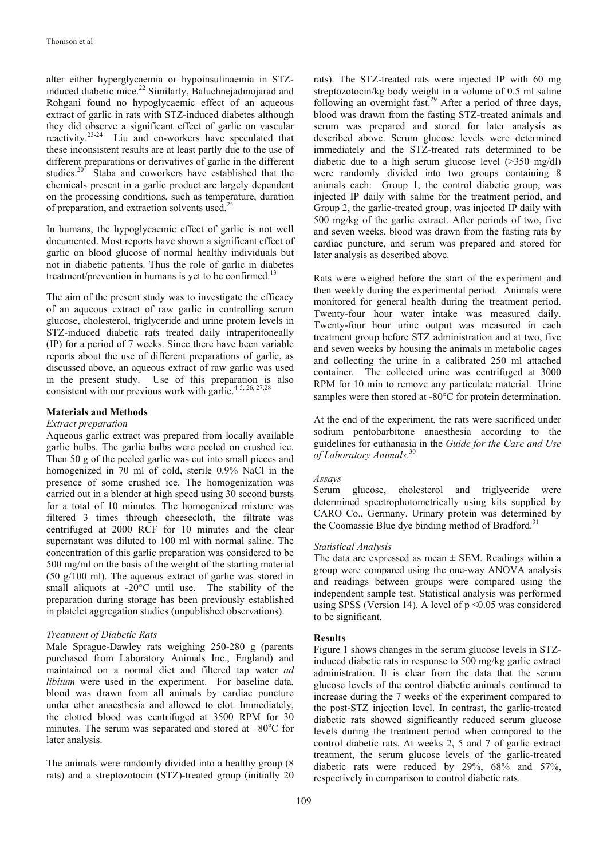alter either hyperglycaemia or hypoinsulinaemia in STZinduced diabetic mice.<sup>22</sup> Similarly, Baluchnejadmojarad and Rohgani found no hypoglycaemic effect of an aqueous extract of garlic in rats with STZ-induced diabetes although they did observe a significant effect of garlic on vascular reactivity. $23-24$  Liu and co-workers have speculated that these inconsistent results are at least partly due to the use of different preparations or derivatives of garlic in the different studies.<sup>20</sup> Staba and coworkers have established that the chemicals present in a garlic product are largely dependent on the processing conditions, such as temperature, duration of preparation, and extraction solvents used.<sup>25</sup>

In humans, the hypoglycaemic effect of garlic is not well documented. Most reports have shown a significant effect of garlic on blood glucose of normal healthy individuals but not in diabetic patients. Thus the role of garlic in diabetes treatment/prevention in humans is yet to be confirmed.<sup>13</sup>

The aim of the present study was to investigate the efficacy of an aqueous extract of raw garlic in controlling serum glucose, cholesterol, triglyceride and urine protein levels in STZ-induced diabetic rats treated daily intraperitoneally (IP) for a period of 7 weeks. Since there have been variable reports about the use of different preparations of garlic, as discussed above, an aqueous extract of raw garlic was used in the present study. Use of this preparation is also consistent with our previous work with garlic.<sup>4-5, 26, 27,28</sup>

## **Materials and Methods**

## *Extract preparation*

Aqueous garlic extract was prepared from locally available garlic bulbs. The garlic bulbs were peeled on crushed ice. Then 50 g of the peeled garlic was cut into small pieces and homogenized in 70 ml of cold, sterile 0.9% NaCl in the presence of some crushed ice. The homogenization was carried out in a blender at high speed using 30 second bursts for a total of 10 minutes. The homogenized mixture was filtered 3 times through cheesecloth, the filtrate was centrifuged at 2000 RCF for 10 minutes and the clear supernatant was diluted to 100 ml with normal saline. The concentration of this garlic preparation was considered to be 500 mg/ml on the basis of the weight of the starting material (50 g/100 ml). The aqueous extract of garlic was stored in small aliquots at -20°C until use. The stability of the preparation during storage has been previously established in platelet aggregation studies (unpublished observations).

## *Treatment of Diabetic Rats*

Male Sprague-Dawley rats weighing 250-280 g (parents purchased from Laboratory Animals Inc., England) and maintained on a normal diet and filtered tap water *ad libitum* were used in the experiment. For baseline data, blood was drawn from all animals by cardiac puncture under ether anaesthesia and allowed to clot. Immediately, the clotted blood was centrifuged at 3500 RPM for 30 minutes. The serum was separated and stored at  $-80^{\circ}$ C for later analysis.

The animals were randomly divided into a healthy group (8 rats) and a streptozotocin (STZ)-treated group (initially 20

rats). The STZ-treated rats were injected IP with 60 mg streptozotocin/kg body weight in a volume of 0.5 ml saline following an overnight fast.<sup>29</sup> After a period of three days, blood was drawn from the fasting STZ-treated animals and serum was prepared and stored for later analysis as described above. Serum glucose levels were determined immediately and the STZ-treated rats determined to be diabetic due to a high serum glucose level (>350 mg/dl) were randomly divided into two groups containing 8 animals each: Group 1, the control diabetic group, was injected IP daily with saline for the treatment period, and Group 2, the garlic-treated group, was injected IP daily with 500 mg/kg of the garlic extract. After periods of two, five and seven weeks, blood was drawn from the fasting rats by cardiac puncture, and serum was prepared and stored for later analysis as described above.

Rats were weighed before the start of the experiment and then weekly during the experimental period. Animals were monitored for general health during the treatment period. Twenty-four hour water intake was measured daily. Twenty-four hour urine output was measured in each treatment group before STZ administration and at two, five and seven weeks by housing the animals in metabolic cages and collecting the urine in a calibrated 250 ml attached container. The collected urine was centrifuged at 3000 RPM for 10 min to remove any particulate material. Urine samples were then stored at -80°C for protein determination.

At the end of the experiment, the rats were sacrificed under sodium pentobarbitone anaesthesia according to the guidelines for euthanasia in the *Guide for the Care and Use of Laboratory Animals*. 30

## *Assays*

Serum glucose, cholesterol and triglyceride were determined spectrophotometrically using kits supplied by CARO Co., Germany. Urinary protein was determined by the Coomassie Blue dye binding method of Bradford.<sup>31</sup>

#### *Statistical Analysis*

The data are expressed as mean  $\pm$  SEM. Readings within a group were compared using the one-way ANOVA analysis and readings between groups were compared using the independent sample test. Statistical analysis was performed using SPSS (Version 14). A level of p <0.05 was considered to be significant.

## **Results**

Figure 1 shows changes in the serum glucose levels in STZinduced diabetic rats in response to 500 mg/kg garlic extract administration. It is clear from the data that the serum glucose levels of the control diabetic animals continued to increase during the 7 weeks of the experiment compared to the post-STZ injection level. In contrast, the garlic-treated diabetic rats showed significantly reduced serum glucose levels during the treatment period when compared to the control diabetic rats. At weeks 2, 5 and 7 of garlic extract treatment, the serum glucose levels of the garlic-treated diabetic rats were reduced by 29%, 68% and 57%, respectively in comparison to control diabetic rats.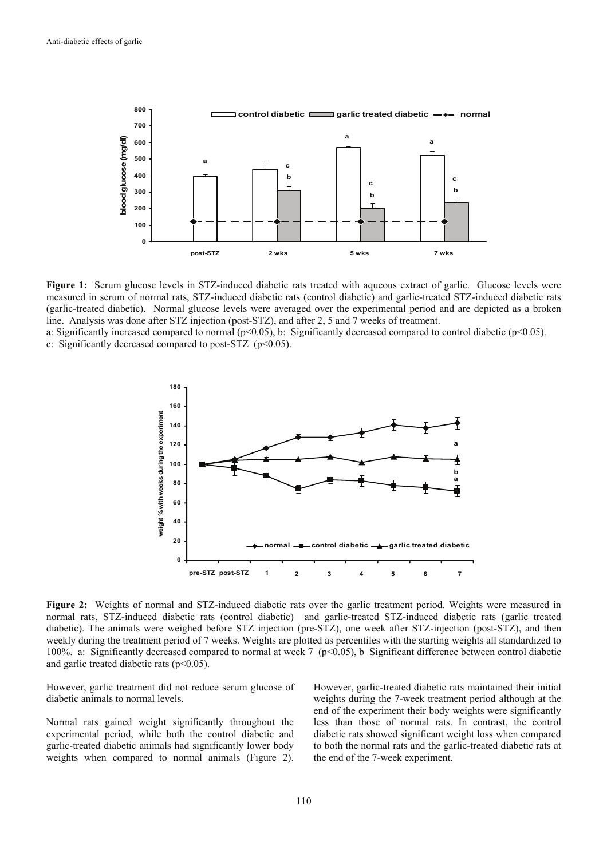

**Figure 1:** Serum glucose levels in STZ-induced diabetic rats treated with aqueous extract of garlic. Glucose levels were measured in serum of normal rats, STZ-induced diabetic rats (control diabetic) and garlic-treated STZ-induced diabetic rats (garlic-treated diabetic). Normal glucose levels were averaged over the experimental period and are depicted as a broken line. Analysis was done after STZ injection (post-STZ), and after 2, 5 and 7 weeks of treatment.

a: Significantly increased compared to normal ( $p<0.05$ ), b: Significantly decreased compared to control diabetic ( $p<0.05$ ). c: Significantly decreased compared to post-STZ (p<0.05).



**Figure 2:** Weights of normal and STZ-induced diabetic rats over the garlic treatment period. Weights were measured in normal rats, STZ-induced diabetic rats (control diabetic) and garlic-treated STZ-induced diabetic rats (garlic treated diabetic). The animals were weighed before STZ injection (pre-STZ), one week after STZ-injection (post-STZ), and then weekly during the treatment period of 7 weeks. Weights are plotted as percentiles with the starting weights all standardized to 100%. a: Significantly decreased compared to normal at week 7 ( $p<0.05$ ), b Significant difference between control diabetic and garlic treated diabetic rats  $(p<0.05)$ .

However, garlic treatment did not reduce serum glucose of diabetic animals to normal levels.

Normal rats gained weight significantly throughout the experimental period, while both the control diabetic and garlic-treated diabetic animals had significantly lower body weights when compared to normal animals (Figure 2).

However, garlic-treated diabetic rats maintained their initial weights during the 7-week treatment period although at the end of the experiment their body weights were significantly less than those of normal rats. In contrast, the control diabetic rats showed significant weight loss when compared to both the normal rats and the garlic-treated diabetic rats at the end of the 7-week experiment.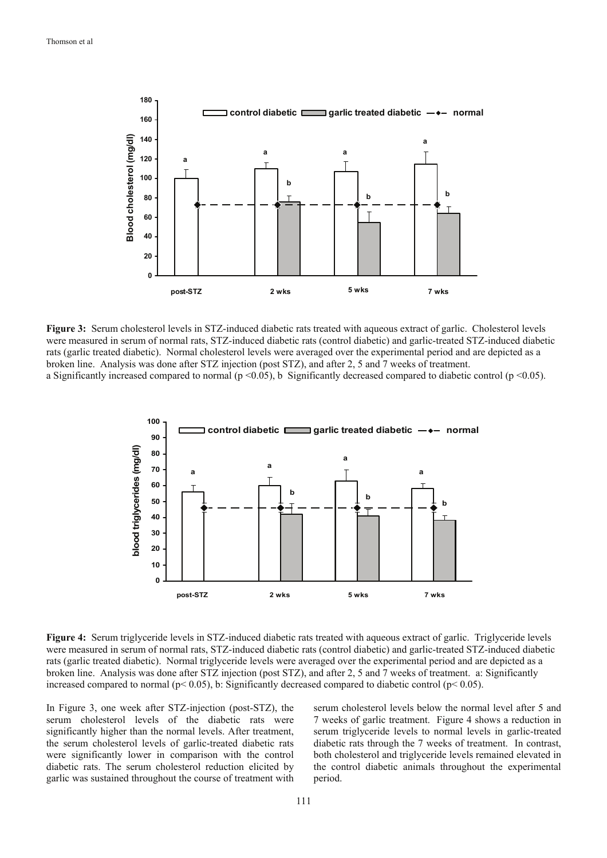

**Figure 3:** Serum cholesterol levels in STZ-induced diabetic rats treated with aqueous extract of garlic. Cholesterol levels were measured in serum of normal rats, STZ-induced diabetic rats (control diabetic) and garlic-treated STZ-induced diabetic rats (garlic treated diabetic). Normal cholesterol levels were averaged over the experimental period and are depicted as a broken line. Analysis was done after STZ injection (post STZ), and after 2, 5 and 7 weeks of treatment. a Significantly increased compared to normal ( $p \le 0.05$ ), b Significantly decreased compared to diabetic control ( $p \le 0.05$ ).



**Figure 4:** Serum triglyceride levels in STZ-induced diabetic rats treated with aqueous extract of garlic. Triglyceride levels were measured in serum of normal rats, STZ-induced diabetic rats (control diabetic) and garlic-treated STZ-induced diabetic rats (garlic treated diabetic). Normal triglyceride levels were averaged over the experimental period and are depicted as a broken line. Analysis was done after STZ injection (post STZ), and after 2, 5 and 7 weeks of treatment. a: Significantly increased compared to normal ( $p$ < 0.05), b: Significantly decreased compared to diabetic control ( $p$ < 0.05).

In Figure 3, one week after STZ-injection (post-STZ), the serum cholesterol levels of the diabetic rats were significantly higher than the normal levels. After treatment, the serum cholesterol levels of garlic-treated diabetic rats were significantly lower in comparison with the control diabetic rats. The serum cholesterol reduction elicited by garlic was sustained throughout the course of treatment with

serum cholesterol levels below the normal level after 5 and 7 weeks of garlic treatment. Figure 4 shows a reduction in serum triglyceride levels to normal levels in garlic-treated diabetic rats through the 7 weeks of treatment. In contrast, both cholesterol and triglyceride levels remained elevated in the control diabetic animals throughout the experimental period.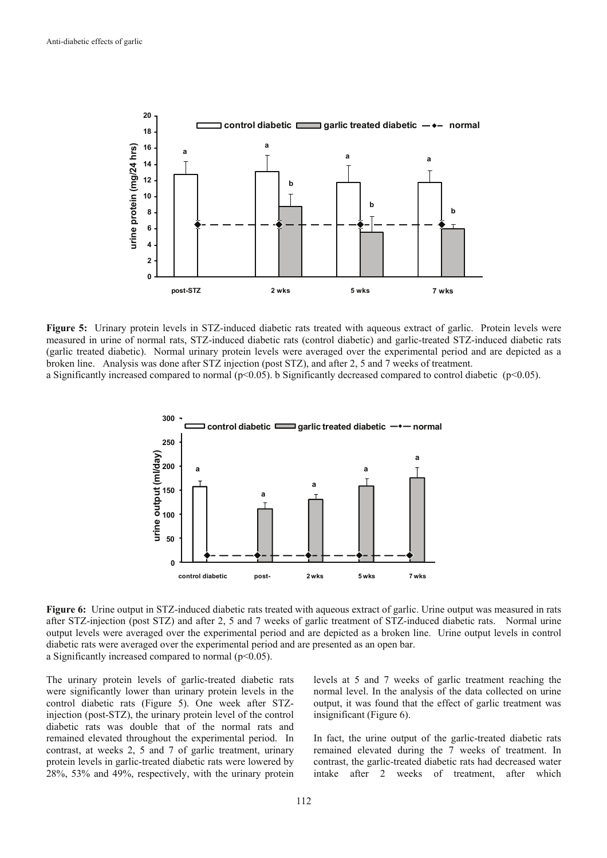

**Figure 5:** Urinary protein levels in STZ-induced diabetic rats treated with aqueous extract of garlic. Protein levels were measured in urine of normal rats, STZ-induced diabetic rats (control diabetic) and garlic-treated STZ-induced diabetic rats (garlic treated diabetic). Normal urinary protein levels were averaged over the experimental period and are depicted as a broken line. Analysis was done after STZ injection (post STZ), and after 2, 5 and 7 weeks of treatment.

a Significantly increased compared to normal ( $p<0.05$ ). b Significantly decreased compared to control diabetic ( $p<0.05$ ).



**Figure 6:** Urine output in STZ-induced diabetic rats treated with aqueous extract of garlic. Urine output was measured in rats after STZ-injection (post STZ) and after 2, 5 and 7 weeks of garlic treatment of STZ-induced diabetic rats. Normal urine output levels were averaged over the experimental period and are depicted as a broken line. Urine output levels in control diabetic rats were averaged over the experimental period and are presented as an open bar. a Significantly increased compared to normal  $(p<0.05)$ .

The urinary protein levels of garlic-treated diabetic rats were significantly lower than urinary protein levels in the control diabetic rats (Figure 5). One week after STZinjection (post-STZ), the urinary protein level of the control diabetic rats was double that of the normal rats and remained elevated throughout the experimental period. In contrast, at weeks 2, 5 and 7 of garlic treatment, urinary protein levels in garlic-treated diabetic rats were lowered by 28%, 53% and 49%, respectively, with the urinary protein

levels at 5 and 7 weeks of garlic treatment reaching the normal level. In the analysis of the data collected on urine output, it was found that the effect of garlic treatment was insignificant (Figure 6).

In fact, the urine output of the garlic-treated diabetic rats remained elevated during the 7 weeks of treatment. In contrast, the garlic-treated diabetic rats had decreased water intake after 2 weeks of treatment, after which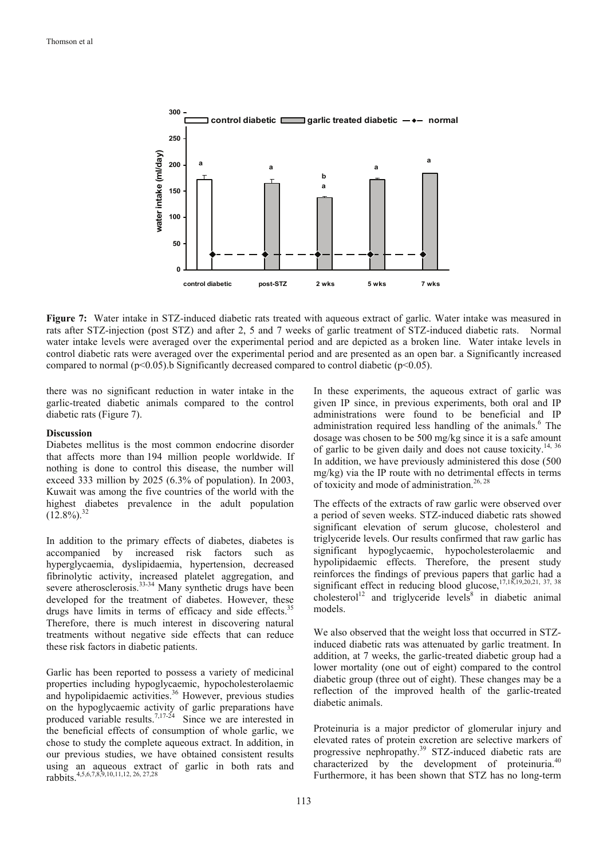

**Figure 7:** Water intake in STZ-induced diabetic rats treated with aqueous extract of garlic. Water intake was measured in rats after STZ-injection (post STZ) and after 2, 5 and 7 weeks of garlic treatment of STZ-induced diabetic rats. Normal water intake levels were averaged over the experimental period and are depicted as a broken line. Water intake levels in control diabetic rats were averaged over the experimental period and are presented as an open bar. a Significantly increased compared to normal ( $p<0.05$ ).b Significantly decreased compared to control diabetic ( $p<0.05$ ).

there was no significant reduction in water intake in the garlic-treated diabetic animals compared to the control diabetic rats (Figure 7).

#### **Discussion**

Diabetes mellitus is the most common endocrine disorder that affects more than 194 million people worldwide. If nothing is done to control this disease, the number will exceed 333 million by 2025 (6.3% of population). In 2003, Kuwait was among the five countries of the world with the highest diabetes prevalence in the adult population  $(12.8\%)$ <sup>32</sup>

In addition to the primary effects of diabetes, diabetes is accompanied by increased risk factors such as hyperglycaemia, dyslipidaemia, hypertension, decreased fibrinolytic activity, increased platelet aggregation, and severe atherosclerosis.<sup>33-34</sup> Many synthetic drugs have been developed for the treatment of diabetes. However, these drugs have limits in terms of efficacy and side effects.<sup>35</sup> Therefore, there is much interest in discovering natural treatments without negative side effects that can reduce these risk factors in diabetic patients.

Garlic has been reported to possess a variety of medicinal properties including hypoglycaemic, hypocholesterolaemic and hypolipidaemic activities. $36$  However, previous studies on the hypoglycaemic activity of garlic preparations have produced variable results.<sup>7,17-24</sup> Since we are interested in the beneficial effects of consumption of whole garlic, we chose to study the complete aqueous extract. In addition, in our previous studies, we have obtained consistent results using an aqueous extract of garlic in both rats and rabbits.4,5,6,7,8,9,10,11,12, 26, 27,28

In these experiments, the aqueous extract of garlic was given IP since, in previous experiments, both oral and IP administrations were found to be beneficial and IP administration required less handling of the animals.<sup>6</sup> The dosage was chosen to be 500 mg/kg since it is a safe amount of garlic to be given daily and does not cause toxicity.<sup>14, 36</sup> In addition, we have previously administered this dose (500 mg/kg) via the IP route with no detrimental effects in terms of toxicity and mode of administration.<sup>26, 28</sup>

The effects of the extracts of raw garlic were observed over a period of seven weeks. STZ-induced diabetic rats showed significant elevation of serum glucose, cholesterol and triglyceride levels. Our results confirmed that raw garlic has significant hypoglycaemic, hypocholesterolaemic and hypolipidaemic effects. Therefore, the present study reinforces the findings of previous papers that garlic had a significant effect in reducing blood glucose,  $17,18,19,20,21,37,38$ cholesterol<sup>12</sup> and triglyceride levels<sup>8</sup> in diabetic animal models.

We also observed that the weight loss that occurred in STZinduced diabetic rats was attenuated by garlic treatment. In addition, at 7 weeks, the garlic-treated diabetic group had a lower mortality (one out of eight) compared to the control diabetic group (three out of eight). These changes may be a reflection of the improved health of the garlic-treated diabetic animals.

Proteinuria is a major predictor of glomerular injury and elevated rates of protein excretion are selective markers of progressive nephropathy.<sup>39</sup> STZ-induced diabetic rats are characterized by the development of proteinuria.<sup>40</sup> Furthermore, it has been shown that STZ has no long-term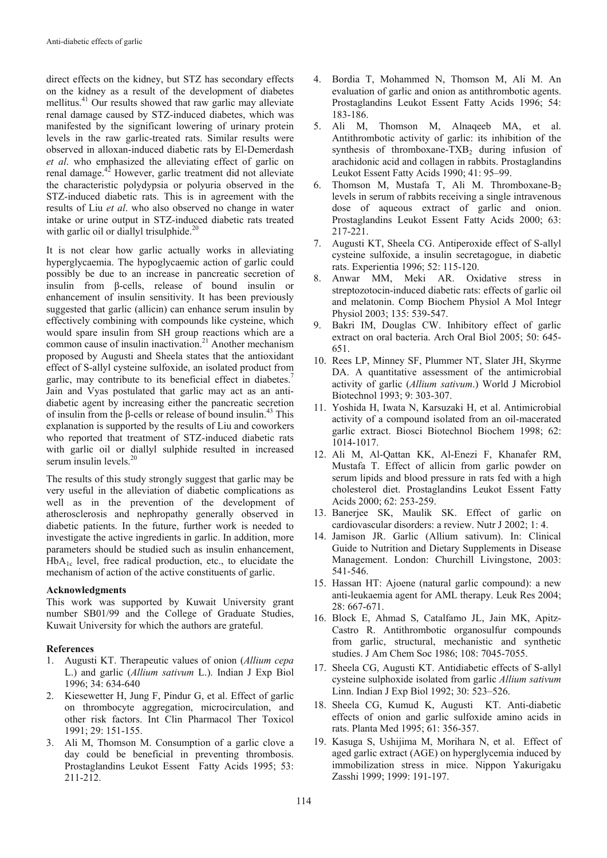direct effects on the kidney, but STZ has secondary effects on the kidney as a result of the development of diabetes mellitus.<sup>41</sup> Our results showed that raw garlic may alleviate renal damage caused by STZ-induced diabetes, which was manifested by the significant lowering of urinary protein levels in the raw garlic-treated rats. Similar results were observed in alloxan-induced diabetic rats by El-Demerdash *et al*. who emphasized the alleviating effect of garlic on renal damage.42 However, garlic treatment did not alleviate the characteristic polydypsia or polyuria observed in the STZ-induced diabetic rats. This is in agreement with the results of Liu *et al*. who also observed no change in water intake or urine output in STZ-induced diabetic rats treated with garlic oil or diallyl trisulphide. $20$ 

It is not clear how garlic actually works in alleviating hyperglycaemia. The hypoglycaemic action of garlic could possibly be due to an increase in pancreatic secretion of insulin from β-cells, release of bound insulin or enhancement of insulin sensitivity. It has been previously suggested that garlic (allicin) can enhance serum insulin by effectively combining with compounds like cysteine, which would spare insulin from SH group reactions which are a common cause of insulin inactivation.<sup>21</sup> Another mechanism proposed by Augusti and Sheela states that the antioxidant effect of S-allyl cysteine sulfoxide, an isolated product from garlic, may contribute to its beneficial effect in diabetes.<sup>7</sup> Jain and Vyas postulated that garlic may act as an antidiabetic agent by increasing either the pancreatic secretion of insulin from the  $\beta$ -cells or release of bound insulin.<sup>43</sup> This explanation is supported by the results of Liu and coworkers who reported that treatment of STZ-induced diabetic rats with garlic oil or diallyl sulphide resulted in increased serum insulin levels.<sup>20</sup>

The results of this study strongly suggest that garlic may be very useful in the alleviation of diabetic complications as well as in the prevention of the development of atherosclerosis and nephropathy generally observed in diabetic patients. In the future, further work is needed to investigate the active ingredients in garlic. In addition, more parameters should be studied such as insulin enhancement,  $HbA_{1c}$  level, free radical production, etc., to elucidate the mechanism of action of the active constituents of garlic.

# **Acknowledgments**

This work was supported by Kuwait University grant number SB01/99 and the College of Graduate Studies, Kuwait University for which the authors are grateful.

# **References**

- 1. Augusti KT. Therapeutic values of onion (*Allium cepa* L.) and garlic (*Allium sativum* L.). Indian J Exp Biol 1996; 34: 634-640
- 2. Kiesewetter H, Jung F, Pindur G, et al. Effect of garlic on thrombocyte aggregation, microcirculation, and other risk factors. Int Clin Pharmacol Ther Toxicol 1991; 29: 151-155.
- 3. Ali M, Thomson M. Consumption of a garlic clove a day could be beneficial in preventing thrombosis. Prostaglandins Leukot Essent Fatty Acids 1995; 53: 211-212.
- 4. Bordia T, Mohammed N, Thomson M, Ali M. An evaluation of garlic and onion as antithrombotic agents. Prostaglandins Leukot Essent Fatty Acids 1996; 54: 183-186.
- 5. Ali M, Thomson M, Alnaqeeb MA, et al. Antithrombotic activity of garlic: its inhibition of the synthesis of thromboxane-TXB<sub>2</sub> during infusion of arachidonic acid and collagen in rabbits. Prostaglandins Leukot Essent Fatty Acids 1990; 41: 95–99.
- 6. Thomson M, Mustafa T, Ali M. Thromboxane-B<sub>2</sub> levels in serum of rabbits receiving a single intravenous dose of aqueous extract of garlic and onion. Prostaglandins Leukot Essent Fatty Acids 2000; 63: 217-221.
- 7. Augusti KT, Sheela CG. Antiperoxide effect of S-allyl cysteine sulfoxide, a insulin secretagogue, in diabetic rats. Experientia 1996; 52: 115-120.
- 8. Anwar MM, Meki AR. Oxidative stress in streptozotocin-induced diabetic rats: effects of garlic oil and melatonin. Comp Biochem Physiol A Mol Integr Physiol 2003; 135: 539-547.
- 9. Bakri IM, Douglas CW. Inhibitory effect of garlic extract on oral bacteria. Arch Oral Biol 2005; 50: 645- 651.
- 10. Rees LP, Minney SF, Plummer NT, Slater JH, Skyrme DA. A quantitative assessment of the antimicrobial activity of garlic (*Allium sativum*.) World J Microbiol Biotechnol 1993; 9: 303-307.
- 11. Yoshida H, Iwata N, Karsuzaki H, et al. Antimicrobial activity of a compound isolated from an oil-macerated garlic extract. Biosci Biotechnol Biochem 1998; 62: 1014-1017.
- 12. Ali M, Al-Qattan KK, Al-Enezi F, Khanafer RM, Mustafa T. Effect of allicin from garlic powder on serum lipids and blood pressure in rats fed with a high cholesterol diet. Prostaglandins Leukot Essent Fatty Acids 2000; 62: 253-259.
- 13. Banerjee SK, Maulik SK. Effect of garlic on cardiovascular disorders: a review. Nutr J 2002; 1: 4.
- 14. Jamison JR. Garlic (Allium sativum). In: Clinical Guide to Nutrition and Dietary Supplements in Disease Management. London: Churchill Livingstone, 2003: 541-546.
- 15. Hassan HT: Ajoene (natural garlic compound): a new anti-leukaemia agent for AML therapy. Leuk Res 2004; 28: 667-671.
- 16. Block E, Ahmad S, Catalfamo JL, Jain MK, Apitz-Castro R. Antithrombotic organosulfur compounds from garlic, structural, mechanistic and synthetic studies. J Am Chem Soc 1986; 108: 7045-7055.
- 17. Sheela CG, Augusti KT. Antidiabetic effects of S-allyl cysteine sulphoxide isolated from garlic *Allium sativum*  Linn. Indian J Exp Biol 1992; 30: 523–526.
- 18. Sheela CG, Kumud K, Augusti KT. Anti-diabetic effects of onion and garlic sulfoxide amino acids in rats. Planta Med 1995; 61: 356-357.
- 19. Kasuga S, Ushijima M, Morihara N, et al. Effect of aged garlic extract (AGE) on hyperglycemia induced by immobilization stress in mice. Nippon Yakurigaku Zasshi 1999; 1999: 191-197.